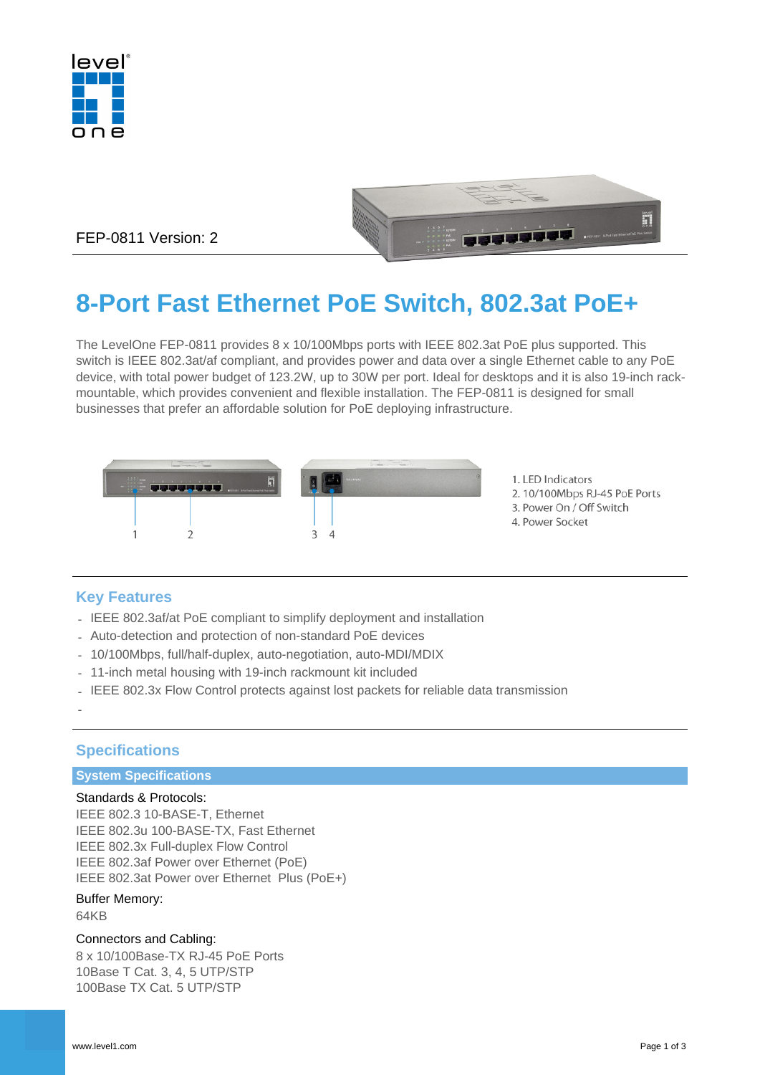



FEP-0811 Version: 2

# **8-Port Fast Ethernet PoE Switch, 802.3at PoE+**

The LevelOne FEP-0811 provides 8 x 10/100Mbps ports with IEEE 802.3at PoE plus supported. This switch is IEEE 802.3at/af compliant, and provides power and data over a single Ethernet cable to any PoE device, with total power budget of 123.2W, up to 30W per port. Ideal for desktops and it is also 19-inch rackmountable, which provides convenient and flexible installation. The FEP-0811 is designed for small businesses that prefer an affordable solution for PoE deploying infrastructure.



# **Key Features**

- IEEE 802.3af/at PoE compliant to simplify deployment and installation
- Auto-detection and protection of non-standard PoE devices
- 10/100Mbps, full/half-duplex, auto-negotiation, auto-MDI/MDIX
- 11-inch metal housing with 19-inch rackmount kit included
- IEEE 802.3x Flow Control protects against lost packets for reliable data transmission

# **Specifications**

#### **System Specifications**

#### Standards & Protocols:

IEEE 802.3 10-BASE-T, Ethernet IEEE 802.3u 100-BASE-TX, Fast Ethernet IEEE 802.3x Full-duplex Flow Control IEEE 802.3af Power over Ethernet (PoE) IEEE 802.3at Power over Ethernet Plus (PoE+)

# Buffer Memory:

64KB

-

#### Connectors and Cabling:

8 x 10/100Base-TX RJ-45 PoE Ports 10Base T Cat. 3, 4, 5 UTP/STP 100Base TX Cat. 5 UTP/STP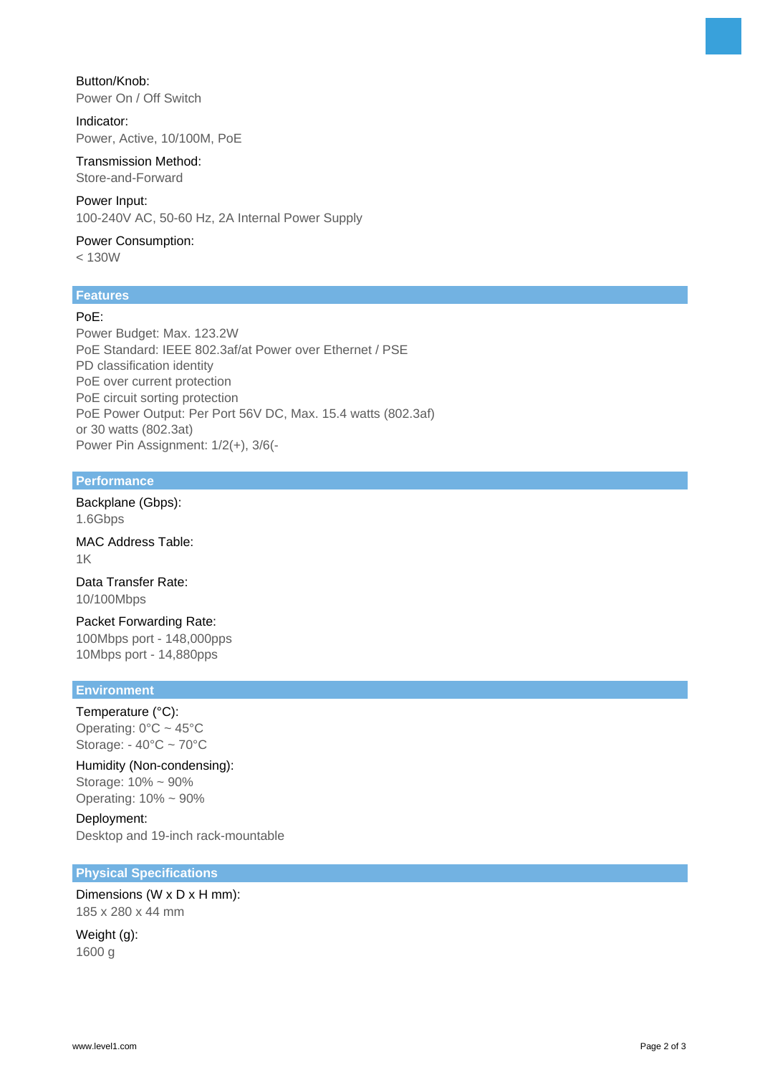Button/Knob: Power On / Off Switch

Indicator: Power, Active, 10/100M, PoE

Transmission Method: Store-and-Forward

Power Input:

100-240V AC, 50-60 Hz, 2A Internal Power Supply

Power Consumption: < 130W

# **Features**

# PoE:

Power Budget: Max. 123.2W PoE Standard: IEEE 802.3af/at Power over Ethernet / PSE PD classification identity PoE over current protection PoE circuit sorting protection PoE Power Output: Per Port 56V DC, Max. 15.4 watts (802.3af) or 30 watts (802.3at) Power Pin Assignment: 1/2(+), 3/6(-

#### **Performance**

Backplane (Gbps): 1.6Gbps

MAC Address Table: 1K

Data Transfer Rate: 10/100Mbps

Packet Forwarding Rate: 100Mbps port - 148,000pps 10Mbps port - 14,880pps

#### **Environment**

Temperature (°C): Operating:  $0^{\circ}$ C ~ 45°C Storage: - 40°C ~ 70°C

Humidity (Non-condensing): Storage: 10% ~ 90% Operating: 10% ~ 90%

Deployment: Desktop and 19-inch rack-mountable

#### **Physical Specifications**

Dimensions (W x D x H mm): 185 x 280 x 44 mm

Weight (g): 1600 g